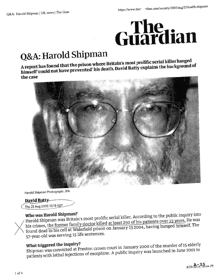

# Q&A: Harold Shipman

A report has found that the prison where Britain's most prolific serial killer hanged himself 'could not have prevented' his death. David Batty explains the background of the case



Harold Shipman Photograph: /PA

#### David Batty

Thu 25 Aug 2005 10.19 EDT

#### Who was Harold Shipman?

Harold Shipman was Britain's most prolific serial killer. According to the public inquiry into his crimes, the former family doctor killed at least 250 of his patients over 23 years. He was found dead in his cell at Wakefield prison on January 13 2004, having hanged himself. The 57-year-old was serving 15 life sentences.

#### What triggered the inquiry?

Shipman was convicted at Preston crown court in January 2000 of the murder of 15 elderly patients with lethal injections of morphine. A public inquiry was launched in June 2001 to

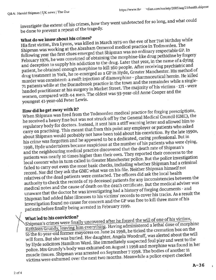investigate the extent of his crimes, how they went undetected for so long, and what could be done to prevent a repeat of the tragedy.

### What do we know about his crimes?

His first victim, Eva Lyons, was killed in March 1975 on the eve of her 71st birthday while Shipman was working at the Abraham Ormerod medical practice in Todmorden. The following year the first clues emerged that Shipman was no ordinary respectable GP. In February 1976, he was convicted of obtaining the morphine-like drug pethidine by forgery and deception to supply his addiction to the drug. Later that year, in the name of a dying patient, he obtained enough morphine to kill 360 people. After receiving psychiatric and drug treatment in York, he re-emerged as a GP in Hyde, Greater Manchester. His method of murder was consistent: a swift injection of diamorphine - pharmaceutical heroin. He killed 71 patients while at the Donnebrook practice in the town and the remainder while a singlehanded practitioner at his surgery in Market Street. The majority of his victims - 171 - were women, compared with 44 men. The oldest was 93-year-old Anne Cooper and the youngest 41-year-old Peter Lewis.

#### How did he get away with it?

When Shipman was fired from the Todmorden medical practice for forging prescriptions, he received a heavy fine but was not struck off by the General Medical Council (GMC), the regulatory body for doctors. Instead, it sent him a stiff warning letter and allowed him to carry on practising. This meant that from this point any employer or patients who asked about Shipman would probably not have been told about his conviction. By the late 1990s, his crime was forgotten and he appeared to be a dedicated, caring professional. But in 1998, Hyde undertakers became suspicious at the number of his patients who were dying, and the neighbouring medical practice discovered that the death rate of Shipman's patients was nearly 10 times higher than their own. They reported their concerns to the local coroner who in turn called in Greater Manchester police. But the police investigation failed to carry out even the most basic checks, including whether Shipman had a criminal record. Nor did they ask the GMC what was on his file. Neither Shipman himself not relatives of the dead patients were contacted. The officers did ask the local health authority to check the records of 19 deceased patients for any inconsistencies between the medical notes and the cause of death on the death certificate. But the medical adviser was unaware that the doctor he was investigating had a history of forging documents - and Shipman had added false illnesses to his victims' records to cover his tracks. As a result the investigation found no cause for concern and the GP was free to kill three more of his patients before finally being arrested in February 1999.

#### What led to his conviction?

Shipman's crimes were finally uncovered after he forged the will of one of his victims, Kathleen Grundy, leaving him everything. Having administered a lethal dose of morphine to the 81-year-old former mayoress on June 24 1998, he ticked the cremation box on the will form. But she was buried. Her daughter, Angela Woodruff, was alerted about the will by Hyde solicitors Hamilton Ward. She immediately suspected foul play and went to the police. Mrs Grundy's body was exhumed on August 11998 and morphine was found in her muscle tissues. Shipman was arrested on September 7 1998. The bodies of another 11 victims were exhumed over the next two months. Meanwhile a police expert checked